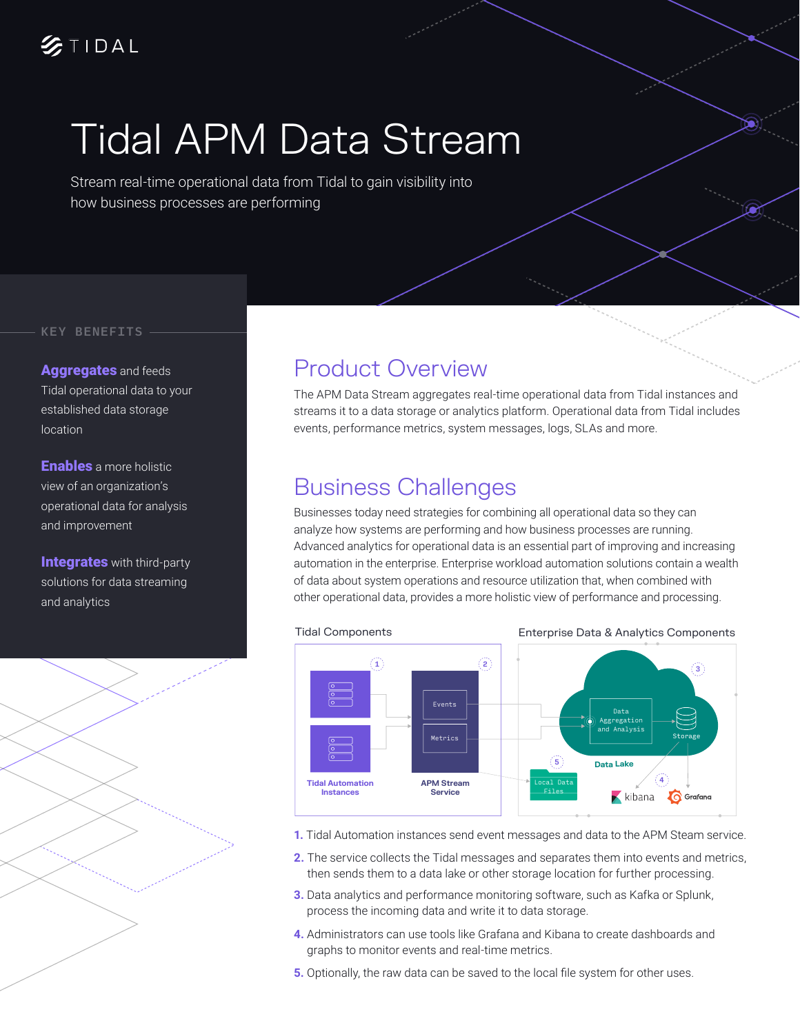## $2710AL$

# Tidal APM Data Stream

Stream real-time operational data from Tidal to gain visibility into how business processes are performing

#### KEY BENEFITS

Aggregates and feeds Tidal operational data to your established data storage location

**Enables** a more holistic view of an organization's operational data for analysis and improvement

**Integrates** with third-party solutions for data streaming and analytics



#### Product Overview

The APM Data Stream aggregates real-time operational data from Tidal instances and streams it to a data storage or analytics platform. Operational data from Tidal includes events, performance metrics, system messages, logs, SLAs and more.

### Business Challenges

Businesses today need strategies for combining all operational data so they can analyze how systems are performing and how business processes are running. Advanced analytics for operational data is an essential part of improving and increasing automation in the enterprise. Enterprise workload automation solutions contain a wealth of data about system operations and resource utilization that, when combined with other operational data, provides a more holistic view of performance and processing.



- **1.** Tidal Automation instances send event messages and data to the APM Steam service.
- **2.** The service collects the Tidal messages and separates them into events and metrics, then sends them to a data lake or other storage location for further processing.
- **3.** Data analytics and performance monitoring software, such as Kafka or Splunk, process the incoming data and write it to data storage.
- **4.** Administrators can use tools like Grafana and Kibana to create dashboards and graphs to monitor events and real-time metrics.
- **5.** Optionally, the raw data can be saved to the local file system for other uses.